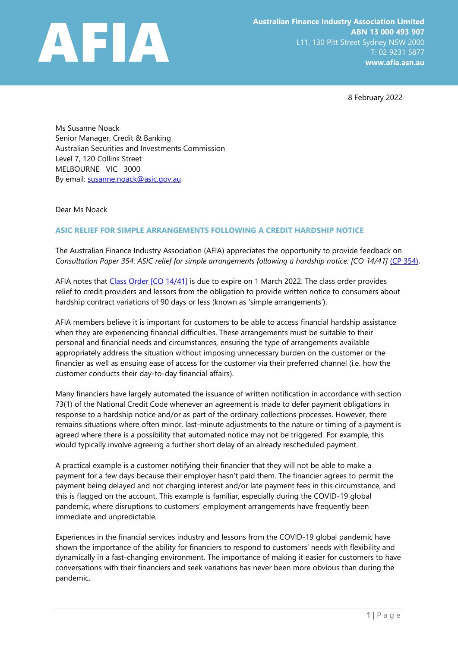

8 February 2022

Ms Susanne Noack Senior Manager, Credit & Banking Australian Securities and Investments Commission Level 7, 120 Collins Street MELBOURNE VIC 3000 By email: [susanne.noack@asic.gov.au](mailto:susanne.noack@asic.gov.au)

Dear Ms Noack

## **ASIC RELIEF FOR SIMPLE ARRANGEMENTS FOLLOWING A CREDIT HARDSHIP NOTICE**

The Australian Finance Industry Association (AFIA) appreciates the opportunity to provide feedback on Consultation Paper 354: ASIC relief for simple arrangements following a hardship notice: [CO 14/41] [\(CP 354\).](https://asic.gov.au/regulatory-resources/find-a-document/consultation-papers/cp-354-asic-relief-for-simple-arrangements-following-a-hardship-notice-co-14-41/)

AFIA notes that Class [Order \[CO](https://www.legislation.gov.au/Details/F2020C00162) 14/41] is due to expire on 1 March 2022. The class order provides relief to credit providers and lessors from the obligation to provide written notice to consumers about hardship contract variations of 90 days or less (known as 'simple arrangements').

AFIA members believe it is important for customers to be able to access financial hardship assistance when they are experiencing financial difficulties. These arrangements must be suitable to their personal and financial needs and circumstances, ensuring the type of arrangements available appropriately address the situation without imposing unnecessary burden on the customer or the financier as well as ensuing ease of access for the customer via their preferred channel (i.e. how the customer conducts their day-to-day financial affairs).

Many financiers have largely automated the issuance of written notification in accordance with section 73(1) of the National Credit Code whenever an agreement is made to defer payment obligations in response to a hardship notice and/or as part of the ordinary collections processes. However, there remains situations where often minor, last-minute adjustments to the nature or timing of a payment is agreed where there is a possibility that automated notice may not be triggered. For example, this would typically involve agreeing a further short delay of an already rescheduled payment.

A practical example is a customer notifying their financier that they will not be able to make a payment for a few days because their employer hasn't paid them. The financier agrees to permit the payment being delayed and not charging interest and/or late payment fees in this circumstance, and this is flagged on the account. This example is familiar, especially during the COVID-19 global pandemic, where disruptions to customers' employment arrangements have frequently been immediate and unpredictable.

Experiences in the financial services industry and lessons from the COVID-19 global pandemic have shown the importance of the ability for financiers to respond to customers' needs with flexibility and dynamically in a fast-changing environment. The importance of making it easier for customers to have conversations with their financiers and seek variations has never been more obvious than during the pandemic.